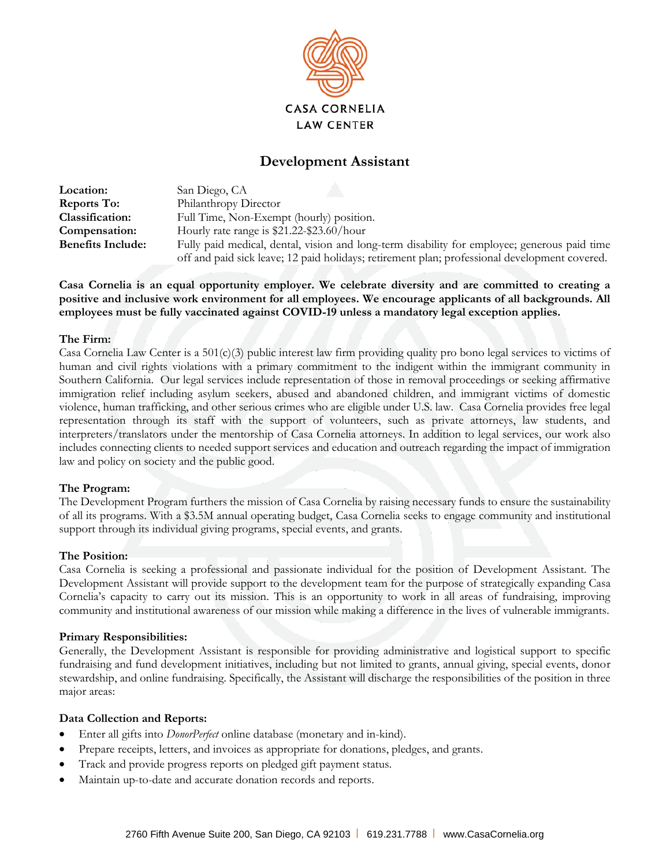

# **Development Assistant**

| <b>Location:</b>         | San Diego, CA                                                                                 |
|--------------------------|-----------------------------------------------------------------------------------------------|
| <b>Reports To:</b>       | Philanthropy Director                                                                         |
| Classification:          | Full Time, Non-Exempt (hourly) position.                                                      |
| Compensation:            | Hourly rate range is $$21.22-\$23.60/hour$                                                    |
| <b>Benefits Include:</b> | Fully paid medical, dental, vision and long-term disability for employee; generous paid time  |
|                          | off and paid sick leave; 12 paid holidays; retirement plan; professional development covered. |

**Casa Cornelia is an equal opportunity employer. We celebrate diversity and are committed to creating a positive and inclusive work environment for all employees. We encourage applicants of all backgrounds. All employees must be fully vaccinated against COVID-19 unless a mandatory legal exception applies.**

### **The Firm:**

Casa Cornelia Law Center is a  $501(c)(3)$  public interest law firm providing quality pro bono legal services to victims of human and civil rights violations with a primary commitment to the indigent within the immigrant community in Southern California. Our legal services include representation of those in removal proceedings or seeking affirmative immigration relief including asylum seekers, abused and abandoned children, and immigrant victims of domestic violence, human trafficking, and other serious crimes who are eligible under U.S. law. Casa Cornelia provides free legal representation through its staff with the support of volunteers, such as private attorneys, law students, and interpreters/translators under the mentorship of Casa Cornelia attorneys. In addition to legal services, our work also includes connecting clients to needed support services and education and outreach regarding the impact of immigration law and policy on society and the public good.

## **The Program:**

The Development Program furthers the mission of Casa Cornelia by raising necessary funds to ensure the sustainability of all its programs. With a \$3.5M annual operating budget, Casa Cornelia seeks to engage community and institutional support through its individual giving programs, special events, and grants.

#### **The Position:**

Casa Cornelia is seeking a professional and passionate individual for the position of Development Assistant. The Development Assistant will provide support to the development team for the purpose of strategically expanding Casa Cornelia's capacity to carry out its mission. This is an opportunity to work in all areas of fundraising, improving community and institutional awareness of our mission while making a difference in the lives of vulnerable immigrants.

#### **Primary Responsibilities:**

Generally, the Development Assistant is responsible for providing administrative and logistical support to specific fundraising and fund development initiatives, including but not limited to grants, annual giving, special events, donor stewardship, and online fundraising. Specifically, the Assistant will discharge the responsibilities of the position in three major areas:

#### **Data Collection and Reports:**

- Enter all gifts into *DonorPerfect* online database (monetary and in-kind).
- Prepare receipts, letters, and invoices as appropriate for donations, pledges, and grants.
- Track and provide progress reports on pledged gift payment status.
- Maintain up-to-date and accurate donation records and reports.